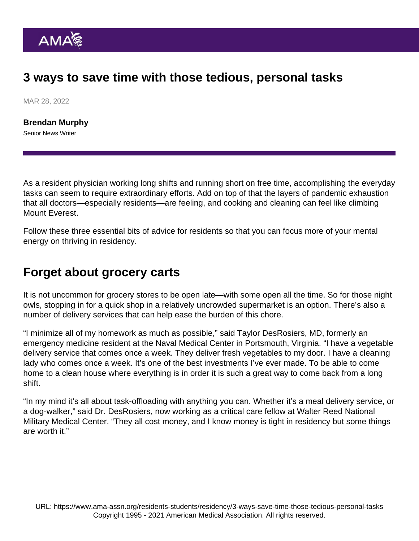## 3 ways to save time with those tedious, personal tasks

MAR 28, 2022

[Brendan Murphy](https://www.ama-assn.org/news-leadership-viewpoints/authors-news-leadership-viewpoints/brendan-murphy) Senior News Writer

As a resident physician working long shifts and running short on free time, accomplishing the everyday tasks can seem to require extraordinary efforts. Add on top of that the layers of pandemic exhaustion that all doctors—especially residents—are feeling, and cooking and cleaning can feel like climbing Mount Everest.

Follow these three essential bits of advice for residents so that you can focus more of your mental energy on [thriving in residency.](https://www.ama-assn.org/series/thriving-residency)

## Forget about grocery carts

It is not uncommon for grocery stores to be open late—with some open all the time. So for those night owls, stopping in for a quick shop in a relatively uncrowded supermarket is an option. There's also a number of delivery services that can help ease the burden of this chore.

"I minimize all of my homework as much as possible," said Taylor DesRosiers, MD, formerly an emergency medicine resident at the Naval Medical Center in Portsmouth, Virginia. "I have a vegetable delivery service that comes once a week. They deliver fresh vegetables to my door. I have a cleaning lady who comes once a week. It's one of the best investments I've ever made. To be able to come home to a clean house where everything is in order it is such a great way to come back from a long shift.

"In my mind it's all about task-offloading with anything you can. Whether it's a meal delivery service, or a dog-walker," said Dr. DesRosiers, now working as a critical care fellow at Walter Reed National Military Medical Center. "They all cost money, and I know money is tight in residency but some things are worth it."